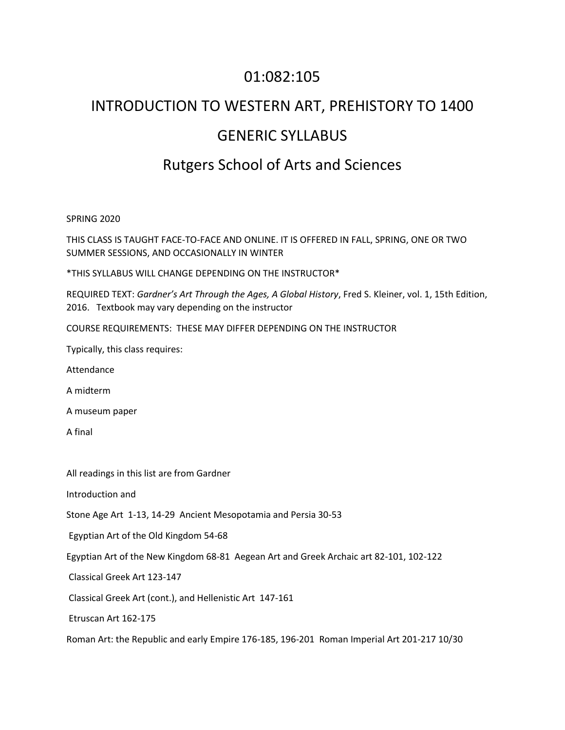## 01:082:105

## INTRODUCTION TO WESTERN ART, PREHISTORY TO 1400 GENERIC SYLLABUS Rutgers School of Arts and Sciences

SPRING 2020

THIS CLASS IS TAUGHT FACE-TO-FACE AND ONLINE. IT IS OFFERED IN FALL, SPRING, ONE OR TWO SUMMER SESSIONS, AND OCCASIONALLY IN WINTER

\*THIS SYLLABUS WILL CHANGE DEPENDING ON THE INSTRUCTOR\*

REQUIRED TEXT: *Gardner's Art Through the Ages, A Global History*, Fred S. Kleiner, vol. 1, 15th Edition, 2016. Textbook may vary depending on the instructor

COURSE REQUIREMENTS: THESE MAY DIFFER DEPENDING ON THE INSTRUCTOR

Typically, this class requires:

Attendance

A midterm

A museum paper

A final

All readings in this list are from Gardner

Introduction and

Stone Age Art 1-13, 14-29 Ancient Mesopotamia and Persia 30-53

Egyptian Art of the Old Kingdom 54-68

Egyptian Art of the New Kingdom 68-81 Aegean Art and Greek Archaic art 82-101, 102-122

Classical Greek Art 123-147

Classical Greek Art (cont.), and Hellenistic Art 147-161

Etruscan Art 162-175

Roman Art: the Republic and early Empire 176-185, 196-201 Roman Imperial Art 201-217 10/30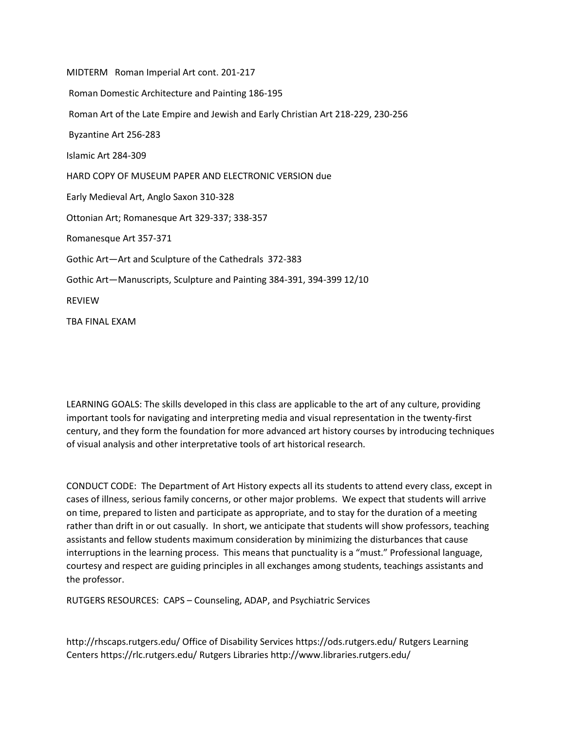MIDTERM Roman Imperial Art cont. 201-217 Roman Domestic Architecture and Painting 186-195 Roman Art of the Late Empire and Jewish and Early Christian Art 218-229, 230-256 Byzantine Art 256-283 Islamic Art 284-309 HARD COPY OF MUSEUM PAPER AND ELECTRONIC VERSION due Early Medieval Art, Anglo Saxon 310-328 Ottonian Art; Romanesque Art 329-337; 338-357 Romanesque Art 357-371 Gothic Art—Art and Sculpture of the Cathedrals 372-383 Gothic Art—Manuscripts, Sculpture and Painting 384-391, 394-399 12/10 REVIEW TBA FINAL EXAM

LEARNING GOALS: The skills developed in this class are applicable to the art of any culture, providing important tools for navigating and interpreting media and visual representation in the twenty-first century, and they form the foundation for more advanced art history courses by introducing techniques of visual analysis and other interpretative tools of art historical research.

CONDUCT CODE: The Department of Art History expects all its students to attend every class, except in cases of illness, serious family concerns, or other major problems. We expect that students will arrive on time, prepared to listen and participate as appropriate, and to stay for the duration of a meeting rather than drift in or out casually. In short, we anticipate that students will show professors, teaching assistants and fellow students maximum consideration by minimizing the disturbances that cause interruptions in the learning process. This means that punctuality is a "must." Professional language, courtesy and respect are guiding principles in all exchanges among students, teachings assistants and the professor.

RUTGERS RESOURCES: CAPS – Counseling, ADAP, and Psychiatric Services

http://rhscaps.rutgers.edu/ Office of Disability Services https://ods.rutgers.edu/ Rutgers Learning Centers https://rlc.rutgers.edu/ Rutgers Libraries http://www.libraries.rutgers.edu/